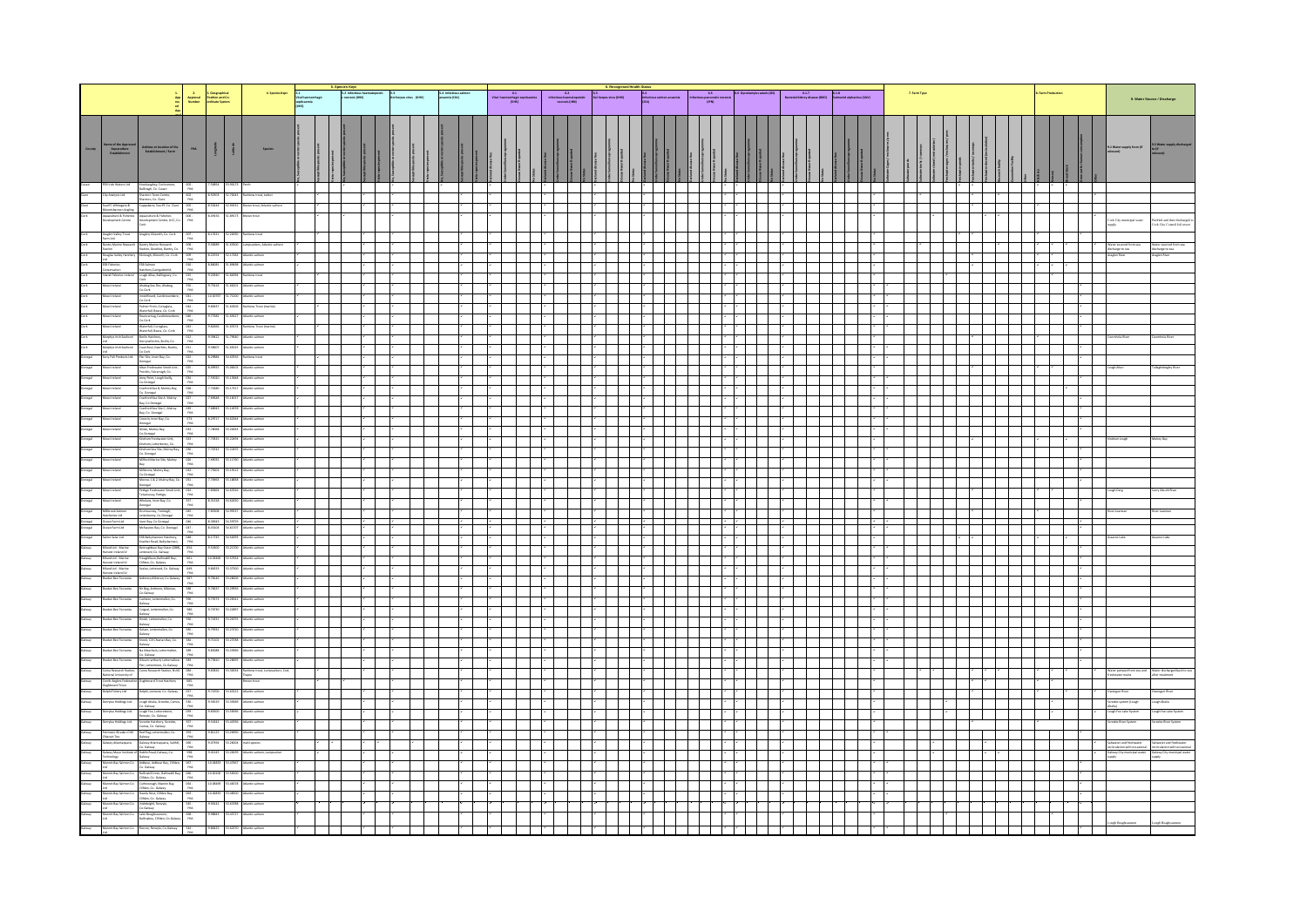| 4. Species Kept $\frac{5.1}{\text{Wallhamontagi}}$<br>septicaemia<br>spytkaemia<br>(VHS)<br>2<br>Approval Position and Co-<br>Number ordinate System<br>1.<br>App<br>Aqu<br>Aqu                                                                                                                                                                                                                                                                                                                                                                                                                                                                           | 5.4 Infectious salmon<br>anaemia (ISA) | C. Recognised Health<br>E3<br>Kai herpesvirus (KHV)<br>$\frac{6.1}{\text{Vol homotangic septicants}}$<br>Weal hasmorrhagic septicalents<br>$\begin{array}{r} \textbf{6.2} \\ \textbf{Interfocus has unsupoletic} \\ \textbf{aecrosic (HM)} \end{array}$                        | ah Status<br>  Left Court salmon anaemia    Left Cóus pascreatic necrosis    Left Cyrodactylus salaris (CG)<br>  LEA)    Left Cóus pascreatic necrosis    Left Cóus    Left Cóus    Left Cóus    Left Court    Left Court   <br> -<br>$6.1.7$<br>Bacterial kidney disease (BKD) Salmonid alphavinus (SAV) | $2.5$ arm Type                                                                                                   | <b>LFarm Production</b> |                                                                                                                     |  |  |  |
|-----------------------------------------------------------------------------------------------------------------------------------------------------------------------------------------------------------------------------------------------------------------------------------------------------------------------------------------------------------------------------------------------------------------------------------------------------------------------------------------------------------------------------------------------------------------------------------------------------------------------------------------------------------|----------------------------------------|--------------------------------------------------------------------------------------------------------------------------------------------------------------------------------------------------------------------------------------------------------------------------------|-----------------------------------------------------------------------------------------------------------------------------------------------------------------------------------------------------------------------------------------------------------------------------------------------------------|------------------------------------------------------------------------------------------------------------------|-------------------------|---------------------------------------------------------------------------------------------------------------------|--|--|--|
|                                                                                                                                                                                                                                                                                                                                                                                                                                                                                                                                                                                                                                                           |                                        |                                                                                                                                                                                                                                                                                |                                                                                                                                                                                                                                                                                                           |                                                                                                                  |                         |                                                                                                                     |  |  |  |
| County<br>County<br>State Street Street Street Street Street Street Street Street Street Street Street Street Street Street Street Street Street Street Street Street Street Street Street Street Street Street Street Street Stre<br>du sopp tides poetes present<br>Vecto / spocies p robot<br>A<br>Veg, Su sopptible or vector s poetes<br>$\begin{tabular}{ c c } \hline \quad \quad & \quad \quad & \quad \quad \\ \hline 1 & 0 & 0 & 0 \\ 0 & 0 & 0 & 0 \\ \hline \end{tabular}$<br>this special present<br>iame of the Approved<br>Aquaculture<br>Establishment<br>$\sim$ na. $\sim$<br>Address or location of the Establishment / Farm<br>Species |                                        | dsea e free<br>svellen ce pro gramme                                                                                                                                                                                                                                           | searche                                                                                                                                                                                                                                                                                                   | towater do sed (red roul all en)<br>shw abor cages / enclosures / perm<br>shw abor p onds<br>tionable / receives |                         |                                                                                                                     |  |  |  |
| $\begin{tabular}{l c c c c c} \hline \textbf{Action} & \textbf{Conver,} & \textbf{G} & \textbf{3.0014} & \textbf{3.0017} & \textbf{7.008} \\ \hline \textbf{Action} & \textbf{Euler,} & \textbf{Goker,} & \textbf{3.001} & \textbf{3.0017} & \textbf{7.008} \\ \hline \textbf{Object} & \textbf{Buler,} & \textbf{Goker,} & \textbf{4.001} & \textbf{5.002} & \textbf{4.0018} & \textbf{1.0020} & \textbf{4$                                                                                                                                                                                                                                              |                                        | $\mathbf{r}$                                                                                                                                                                                                                                                                   | $\mathbf{r}$                                                                                                                                                                                                                                                                                              |                                                                                                                  |                         |                                                                                                                     |  |  |  |
| Scattf, Whitegate &<br>Mountshamson Angley<br>Aquaculture & Fuberies<br>Development Centre                                                                                                                                                                                                                                                                                                                                                                                                                                                                                                                                                                |                                        |                                                                                                                                                                                                                                                                                |                                                                                                                                                                                                                                                                                                           |                                                                                                                  |                         |                                                                                                                     |  |  |  |
|                                                                                                                                                                                                                                                                                                                                                                                                                                                                                                                                                                                                                                                           |                                        |                                                                                                                                                                                                                                                                                |                                                                                                                                                                                                                                                                                                           |                                                                                                                  |                         | ek City municipal water<br>uriled and then discharg<br>lock City Council foil sen                                   |  |  |  |
| Anglen, Klworth, Co. Cork 007 - 4.13331 52.20090 Rainbow trout                                                                                                                                                                                                                                                                                                                                                                                                                                                                                                                                                                                            |                                        |                                                                                                                                                                                                                                                                                |                                                                                                                                                                                                                                                                                                           |                                                                                                                  |                         |                                                                                                                     |  |  |  |
| Araglen Valley Trout<br>Farm Ltd.<br>Ranton<br>Station<br>Couglas Valley Hatchery<br>Ltd<br>4 58389 51 63500 Lumpsucken, Atlantic salmon                                                                                                                                                                                                                                                                                                                                                                                                                                                                                                                  |                                        |                                                                                                                                                                                                                                                                                |                                                                                                                                                                                                                                                                                                           |                                                                                                                  |                         | Alater sourced from sea<br>discharge to sea<br>Araglen River<br>l'ater sourced !<br>lscharge to sea<br>ragien River |  |  |  |
| Ltd<br>ESB Floheries<br>Comservation<br>4.86001 51.89698 Atlantic salmon                                                                                                                                                                                                                                                                                                                                                                                                                                                                                                                                                                                  |                                        |                                                                                                                                                                                                                                                                                |                                                                                                                                                                                                                                                                                                           |                                                                                                                  |                         |                                                                                                                     |  |  |  |
| inbow trout                                                                                                                                                                                                                                                                                                                                                                                                                                                                                                                                                                                                                                               |                                        |                                                                                                                                                                                                                                                                                |                                                                                                                                                                                                                                                                                                           |                                                                                                                  |                         |                                                                                                                     |  |  |  |
| Cock<br>Ahabag Sea Site, Ahabag,<br>Co.Cock<br>Cock<br>Co.Cock<br>9.75456<br>$550 -$<br>51.66300<br>antic salmon                                                                                                                                                                                                                                                                                                                                                                                                                                                                                                                                          |                                        |                                                                                                                                                                                                                                                                                |                                                                                                                                                                                                                                                                                                           |                                                                                                                  |                         |                                                                                                                     |  |  |  |
| 4.80637 St.64506 Rainbow Trout (marine)<br>4.77682 St.65637 Atlantic salmon<br>Draileri iwo                                                                                                                                                                                                                                                                                                                                                                                                                                                                                                                                                               |                                        |                                                                                                                                                                                                                                                                                |                                                                                                                                                                                                                                                                                                           |                                                                                                                  |                         |                                                                                                                     |  |  |  |
| Palmer Point, Curryglam, 044<br>Waherfall, Beara, Co. Cork PHA<br>Kooncriting, Castletowebers, 045-<br>Rooccerk (Curryglam, 043-1944)<br>Waherfall, Curryglam, 043-                                                                                                                                                                                                                                                                                                                                                                                                                                                                                       |                                        |                                                                                                                                                                                                                                                                                |                                                                                                                                                                                                                                                                                                           |                                                                                                                  |                         |                                                                                                                     |  |  |  |
| 4.83666 51.65374 Rainbow Trout (marine)<br>4.36422 51.7660 Atlantic salmon<br>$-643 -$<br>Waterfall, Beara, Co., Cork.<br>Borin Hatchery,                                                                                                                                                                                                                                                                                                                                                                                                                                                                                                                 |                                        |                                                                                                                                                                                                                                                                                |                                                                                                                                                                                                                                                                                                           |                                                                                                                  |                         |                                                                                                                     |  |  |  |
| Borlin Hatchery, 2012 - 2012 - 2014<br>Cuan Boul, Gearbies, Bantry, 2011 - 2016<br>Co Cork 2014 - 2014 - 2014 - 2014 - 2014 - 2014 - 2014 - 2014 - 2014 - 2014 - 2014 - 2014 - 2014 - 2014 - 2014<br>4.58607 51.65015 Atlantic salmon                                                                                                                                                                                                                                                                                                                                                                                                                     |                                        |                                                                                                                                                                                                                                                                                |                                                                                                                                                                                                                                                                                                           |                                                                                                                  |                         |                                                                                                                     |  |  |  |
| Co Cork<br>Pier Ste, Inver Bay, Co.<br>Donegal<br>$4.29854 \qquad 54.63556 \qquad \textbf{R} \text{sebow trout}$<br>$\frac{022}{\text{H4}}$<br>.<br>Nantar Smnl<br>artic talmon<br>$-225 -$                                                                                                                                                                                                                                                                                                                                                                                                                                                               |                                        |                                                                                                                                                                                                                                                                                |                                                                                                                                                                                                                                                                                                           |                                                                                                                  |                         |                                                                                                                     |  |  |  |
| Procklis, Falcarragh, Co.<br>55030 SS 15848 Atlantic salmon                                                                                                                                                                                                                                                                                                                                                                                                                                                                                                                                                                                               |                                        |                                                                                                                                                                                                                                                                                |                                                                                                                                                                                                                                                                                                           |                                                                                                                  |                         |                                                                                                                     |  |  |  |
| 70280 SL17117 Atlantic salmon                                                                                                                                                                                                                                                                                                                                                                                                                                                                                                                                                                                                                             |                                        |                                                                                                                                                                                                                                                                                |                                                                                                                                                                                                                                                                                                           |                                                                                                                  |                         |                                                                                                                     |  |  |  |
| Product, Farkamagn, Ca. – 1944<br>Aostro Francisco († 1834)<br>Concerned State, Abduren Paus, 2003<br>Concerned State, Abduren Paus, 2003<br>Concerned State Abduren Paus, 2003<br>Product State Barbara († 1830)<br>Concerned State Barbara (†<br>wi Indand                                                                                                                                                                                                                                                                                                                                                                                              |                                        |                                                                                                                                                                                                                                                                                |                                                                                                                                                                                                                                                                                                           |                                                                                                                  |                         |                                                                                                                     |  |  |  |
| SLG2M Afartic salmon<br>$$\frac{575}{104}$$                                                                                                                                                                                                                                                                                                                                                                                                                                                                                                                                                                                                               |                                        |                                                                                                                                                                                                                                                                                |                                                                                                                                                                                                                                                                                                           |                                                                                                                  |                         |                                                                                                                     |  |  |  |
| -7.78068 $55,20063$ Atlantic salmon<br>7.70325 SS.22454 Atlantic salmon                                                                                                                                                                                                                                                                                                                                                                                                                                                                                                                                                                                   |                                        |                                                                                                                                                                                                                                                                                |                                                                                                                                                                                                                                                                                                           |                                                                                                                  |                         |                                                                                                                     |  |  |  |
| brailetí iwol                                                                                                                                                                                                                                                                                                                                                                                                                                                                                                                                                                                                                                             |                                        |                                                                                                                                                                                                                                                                                |                                                                                                                                                                                                                                                                                                           |                                                                                                                  |                         |                                                                                                                     |  |  |  |
| braint iwoh<br>Donegal <sup>1</sup><br>Mowl Ireland                                                                                                                                                                                                                                                                                                                                                                                                                                                                                                                                                                                                       |                                        |                                                                                                                                                                                                                                                                                |                                                                                                                                                                                                                                                                                                           |                                                                                                                  |                         |                                                                                                                     |  |  |  |
| Mowl Ireland                                                                                                                                                                                                                                                                                                                                                                                                                                                                                                                                                                                                                                              |                                        |                                                                                                                                                                                                                                                                                |                                                                                                                                                                                                                                                                                                           |                                                                                                                  |                         |                                                                                                                     |  |  |  |
| Mowl Ireland                                                                                                                                                                                                                                                                                                                                                                                                                                                                                                                                                                                                                                              |                                        |                                                                                                                                                                                                                                                                                |                                                                                                                                                                                                                                                                                                           |                                                                                                                  |                         | sath Dece                                                                                                           |  |  |  |
| Mowl Ireland                                                                                                                                                                                                                                                                                                                                                                                                                                                                                                                                                                                                                                              |                                        |                                                                                                                                                                                                                                                                                |                                                                                                                                                                                                                                                                                                           |                                                                                                                  |                         |                                                                                                                     |  |  |  |
| Milbrook Salmon<br>Hatcheries Ltd<br>Ocean Farm Ltd<br>Ocean Farm Ltd                                                                                                                                                                                                                                                                                                                                                                                                                                                                                                                                                                                     |                                        | $\sim$ 1.1 $\sim$ 1.1 $\sim$ 1.1 $\sim$ 1.1 $\sim$ 1.1 $\sim$ 1.1 $\sim$ 1.1 $\sim$ 1.1 $\sim$ 1.1 $\sim$ 1.1 $\sim$ 1.1 $\sim$ 1.1 $\sim$ 1.1 $\sim$ 1.1 $\sim$ 1.1 $\sim$ 1.1 $\sim$ 1.1 $\sim$ 1.1 $\sim$ 1.1 $\sim$ 1.1 $\sim$ 1.1 $\sim$ 1.1 $\sim$ 1.1 $\sim$ 1.1 $\sim$ |                                                                                                                                                                                                                                                                                                           |                                                                                                                  |                         |                                                                                                                     |  |  |  |
| 4.1776 54.50092 Atlantic salmon<br>ialmo Salar Ltd<br>ESB Ballyshannon Hatchery, 048 -<br>Krather Road, Ballyshannon, RHA                                                                                                                                                                                                                                                                                                                                                                                                                                                                                                                                 |                                        |                                                                                                                                                                                                                                                                                |                                                                                                                                                                                                                                                                                                           |                                                                                                                  |                         |                                                                                                                     |  |  |  |
| 4.54300 53.21700 Atlantic salmon<br>Silfand Ltd - Marine<br>Harvest Ireland JV<br>Silfand Ltd - Marine<br>Harvest Ireland JV<br>Silfand Ltd - Marine<br>Harvest Ireland IV<br>Rentraghbool Ray Outer (CBR), CS4-<br>Letterand, Co. Galway – FINA<br>Freaghillsun, Rallinakill Ray, – GG1-<br>Clifden, Co. Galway – FINA                                                                                                                                                                                                                                                                                                                                   |                                        |                                                                                                                                                                                                                                                                                |                                                                                                                                                                                                                                                                                                           |                                                                                                                  |                         |                                                                                                                     |  |  |  |
|                                                                                                                                                                                                                                                                                                                                                                                                                                                                                                                                                                                                                                                           |                                        |                                                                                                                                                                                                                                                                                |                                                                                                                                                                                                                                                                                                           |                                                                                                                  |                         |                                                                                                                     |  |  |  |
| 4.78146 53.28006 Atlantic salmon                                                                                                                                                                                                                                                                                                                                                                                                                                                                                                                                                                                                                          |                                        |                                                                                                                                                                                                                                                                                |                                                                                                                                                                                                                                                                                                           |                                                                                                                  |                         |                                                                                                                     |  |  |  |
| 4.7627 53.29956 Atlantic salmon<br><b>Bradan Beo Teoranta</b><br>Bir Beg, Ardmore, Kikieran, SBB -<br>Co.Galway - Fila.<br>Casheen, Lettermullen, Co. - SBD -<br>471572 5326541 Atlantic salmon                                                                                                                                                                                                                                                                                                                                                                                                                                                           |                                        |                                                                                                                                                                                                                                                                                |                                                                                                                                                                                                                                                                                                           |                                                                                                                  |                         |                                                                                                                     |  |  |  |
| 590 -<br>PHA<br>$4.70730$ $\qquad 52.22897$ Afantic salmon<br>$\frac{586}{104}$                                                                                                                                                                                                                                                                                                                                                                                                                                                                                                                                                                           |                                        |                                                                                                                                                                                                                                                                                |                                                                                                                                                                                                                                                                                                           |                                                                                                                  |                         |                                                                                                                     |  |  |  |
| 4.74331 53.26755 Atlantic salmon<br>ish Lettermullen Co<br>$rac{556}{P44}$<br>4.75931 53.23720 Atlantic salmon                                                                                                                                                                                                                                                                                                                                                                                                                                                                                                                                            |                                        |                                                                                                                                                                                                                                                                                |                                                                                                                                                                                                                                                                                                           |                                                                                                                  |                         |                                                                                                                     |  |  |  |
| $rac{585}{R}$<br>$4.71101 \qquad 53.27028 \qquad \text{After the author}$<br>$rac{584}{948}$                                                                                                                                                                                                                                                                                                                                                                                                                                                                                                                                                              |                                        |                                                                                                                                                                                                                                                                                |                                                                                                                                                                                                                                                                                                           |                                                                                                                  |                         |                                                                                                                     |  |  |  |
| tanney, Cil Chiarlan Bay, Co<br>Galway<br>Ka Meachain, Lettermule<br>Co. Galway<br>Olieain Larthach, Lettercal<br>Pier, Lettermore, Co Galwa<br>Pier, Lettermore, Co<br>Pier, Lettermore, Co<br>Pier, Lettermore, Co<br>$\begin{tabular}{ll} \bf 4.83088 & \begin{tabular}{l} \bf 5.23966 & \textbf{After the number} \end{tabular} \end{tabular}$<br>$\frac{589}{PAA}$                                                                                                                                                                                                                                                                                   |                                        |                                                                                                                                                                                                                                                                                |                                                                                                                                                                                                                                                                                                           |                                                                                                                  |                         |                                                                                                                     |  |  |  |
| 4.7810 53.2666 Atlantic salmon<br>ow 582-<br>17 RM<br>$rac{1}{100}$ $rac{1}{100}$                                                                                                                                                                                                                                                                                                                                                                                                                                                                                                                                                                         |                                        |                                                                                                                                                                                                                                                                                |                                                                                                                                                                                                                                                                                                           |                                                                                                                  |                         |                                                                                                                     |  |  |  |
| 4.83826 SLXXC34 Rainbow trout, Lump<br>Tilspia<br>Brown trout<br>$-085$                                                                                                                                                                                                                                                                                                                                                                                                                                                                                                                                                                                   |                                        |                                                                                                                                                                                                                                                                                |                                                                                                                                                                                                                                                                                                           |                                                                                                                  |                         |                                                                                                                     |  |  |  |
| elphi Fishery Ltd<br>rylea Holdings Ltd.                                                                                                                                                                                                                                                                                                                                                                                                                                                                                                                                                                                                                  |                                        |                                                                                                                                                                                                                                                                                |                                                                                                                                                                                                                                                                                                           |                                                                                                                  |                         | eengarr River<br>vengarr River<br>ugh Ahalia                                                                        |  |  |  |
| $\begin{tabular}{ c c c c } \hline $\cos$\quad$ & $\quad$4.56529 & $\quad$53.36289 & $M_{\rm H}\,{\rm etc.} $\rm{ulmod}$ \\ \hline $B48$ & & $\quad$4.56529 & $\quad$53.36289 & $M_{\rm H}\,{\rm etc.} $\rm{ulmod}$ \\ \hline \end{tabular}$<br>Lough Ahalia, Screebe, Cas<br>Co. Galway<br>Lough Fee, Letteretterin,<br>Renvyle, Co. Galway<br>$\begin{tabular}{ c c c c } \hline & & & & & & & \\ \hline 4.83500 & 53.5006 & \text{Mustic uahvar} \end{tabular}$<br>errylea Holdings Ltd.<br>$059 -$                                                                                                                                                    |                                        |                                                                                                                                                                                                                                                                                |                                                                                                                                                                                                                                                                                                           |                                                                                                                  |                         | Screebe system (Lough)<br>Rhala)<br>Lough Fee Lake System<br>.<br>Lough Fee Lake System                             |  |  |  |
| 4.54342 53.40766 Atlantic salmon                                                                                                                                                                                                                                                                                                                                                                                                                                                                                                                                                                                                                          |                                        |                                                                                                                                                                                                                                                                                |                                                                                                                                                                                                                                                                                                           |                                                                                                                  |                         | reebe River System<br>creebe River System                                                                           |  |  |  |
| Complex Holdings Link<br>Complex School Company, Coronby 1963<br>Hermann Company, Company, Company, Company, Company, Company, Company, Company, Company, Company, Company, Company, Company, Company, Company, Company, Company,<br>4.81125 53.2690 Atlantic salmon<br>-<br>4.07394 53.26004 multispecies                                                                                                                                                                                                                                                                                                                                                |                                        |                                                                                                                                                                                                                                                                                |                                                                                                                                                                                                                                                                                                           |                                                                                                                  |                         | <b>twater and freshwater</b>                                                                                        |  |  |  |
| $\begin{tabular}{l c c c c c} \hline & $\cdots$ & $\cdots$ & $\cdots$ & $\cdots$ \\ \hline 500 & $\cdots$ & $\cdots$ & $\cdots$ & $M$ & Afteric author, Lumpuck \\ \hline $\cdots$ & $\cdots$ & $\cdots$ & $\cdots$ & $\cdots$ \\ \hline \end{tabular}$                                                                                                                                                                                                                                                                                                                                                                                                   |                                        |                                                                                                                                                                                                                                                                                |                                                                                                                                                                                                                                                                                                           |                                                                                                                  |                         | recirculation with occasiona<br>Galway City municipal water                                                         |  |  |  |
| Cabusy<br>Ardbear, Ardbear Bay, Clifden, 067 -<br>Co. Cabusy RHA<br>-10.04833 53.47607 Atlantic salmon                                                                                                                                                                                                                                                                                                                                                                                                                                                                                                                                                    |                                        |                                                                                                                                                                                                                                                                                |                                                                                                                                                                                                                                                                                                           |                                                                                                                  |                         |                                                                                                                     |  |  |  |
| Ballinskill Inner, Ballina<br>Clifden, Co. Galway<br>iay, 066 - - -10.00330 53.56500 Atlantic salmon<br>RM<br>-10.08469 53.46578 Atlantic salmon                                                                                                                                                                                                                                                                                                                                                                                                                                                                                                          |                                        |                                                                                                                                                                                                                                                                                |                                                                                                                                                                                                                                                                                                           |                                                                                                                  |                         |                                                                                                                     |  |  |  |
| $rac{664}{144}$<br>-10.06833 53.48500 Atlantic salmon                                                                                                                                                                                                                                                                                                                                                                                                                                                                                                                                                                                                     |                                        |                                                                                                                                                                                                                                                                                |                                                                                                                                                                                                                                                                                                           |                                                                                                                  |                         |                                                                                                                     |  |  |  |
| Clifden, Co. Galway<br>Curbowragh, Mannin Ray,<br>Clifden, Co. Galway<br>Hawka Next, Clifden Ray,<br>Clifden, Co. Galway<br>Indigity, Renayle,<br>Co. Galway<br>Lake Beaghcauzeen,<br>Railinaboy, Clifden, Co. Galway<br>4.90142 53.63788 Atlantic salmon<br>$rac{545}{R44}$<br>9.98843 53.45727 Atlantic salmon<br>$\frac{1}{\sqrt{2}}$                                                                                                                                                                                                                                                                                                                  |                                        |                                                                                                                                                                                                                                                                                |                                                                                                                                                                                                                                                                                                           |                                                                                                                  |                         |                                                                                                                     |  |  |  |
| Marcin Bay Salman Co. Aburoe, Renayle, Co.Cabuay 544 - 4.86425 31.6323 - Atlantic salmon<br>Ltd.                                                                                                                                                                                                                                                                                                                                                                                                                                                                                                                                                          |                                        |                                                                                                                                                                                                                                                                                |                                                                                                                                                                                                                                                                                                           |                                                                                                                  |                         |                                                                                                                     |  |  |  |
|                                                                                                                                                                                                                                                                                                                                                                                                                                                                                                                                                                                                                                                           |                                        |                                                                                                                                                                                                                                                                                |                                                                                                                                                                                                                                                                                                           |                                                                                                                  |                         |                                                                                                                     |  |  |  |